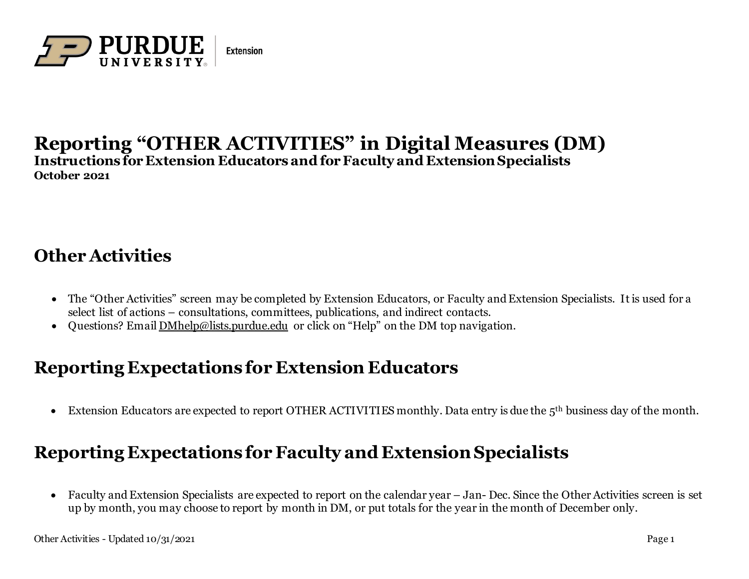

#### **Reporting "OTHER ACTIVITIES" in Digital Measures (DM) Instructions for Extension Educators and forFaculty and ExtensionSpecialists October 2021**

## **Other Activities**

- The "Other Activities" screen may be completed by Extension Educators, or Faculty and Extension Specialists. It is used for a select list of actions – consultations, committees, publications, and indirect contacts.
- Questions? Email [DMhelp@lists.purdue.edu](mailto:DMhelp@lists.purdue.edu) or click on "Help" on the DM top navigation.

### **Reporting Expectations for Extension Educators**

• Extension Educators are expected to report OTHER ACTIVITIES monthly. Data entry is due the 5th business day of the month.

## **Reporting Expectations for Faculty and ExtensionSpecialists**

• Faculty and Extension Specialists are expected to report on the calendar year – Jan-Dec. Since the Other Activities screen is set up by month, you may choose to report by month in DM, or put totals for the year in the month of December only.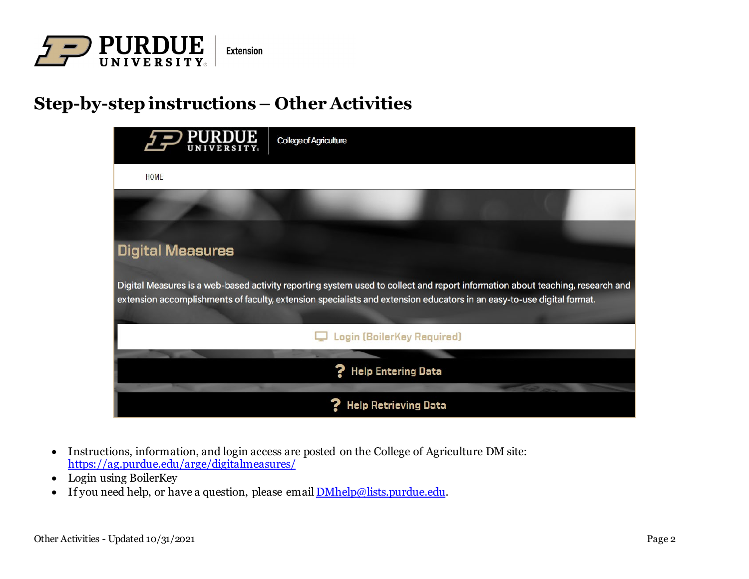

# **Step-by-step instructions– Other Activities**



- Instructions, information, and login access are posted on the College of Agriculture DM site: <https://ag.purdue.edu/arge/digitalmeasures/>
- Login using BoilerKey
- If you need help, or have a question, please email  $\underline{\text{DMhelp@lists}}, \underline{\text{burdue}}$ .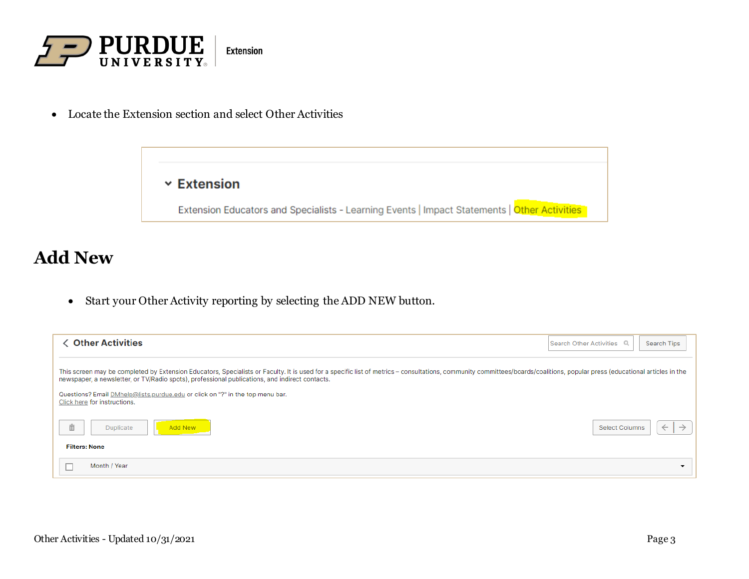

• Locate the Extension section and select Other Activities

 $\times$  Extension

Extension Educators and Specialists - Learning Events | Impact Statements | Other Activities

### **Add New**

• Start your Other Activity reporting by selecting the ADD NEW button.

| <b>く Other Activities</b>                                                                                                                                                                                                                                                                                                    | $\begin{array}{c} \n\Omega \n\end{array}$<br><b>Search Other Activities</b><br>Search Tips |
|------------------------------------------------------------------------------------------------------------------------------------------------------------------------------------------------------------------------------------------------------------------------------------------------------------------------------|--------------------------------------------------------------------------------------------|
| This screen may be completed by Extension Educators, Specialists or Faculty. It is used for a specific list of metrics - consultations, community committees/boards/coalitions, popular press (educational articles in the<br>newspaper, a newsletter, or TV/Radio spots), professional publications, and indirect contacts. |                                                                                            |
| Questions? Email DMhelp@lists.purdue.edu or click on "?" in the top menu bar.<br>Click here for instructions.                                                                                                                                                                                                                |                                                                                            |
| $\hat{\mathbb{m}}$<br>Duplicate<br><b>Add New</b>                                                                                                                                                                                                                                                                            | <b>Select Columns</b><br>$\rightarrow$<br>$\leftarrow$                                     |
| <b>Filters: None</b>                                                                                                                                                                                                                                                                                                         |                                                                                            |
| Month / Year                                                                                                                                                                                                                                                                                                                 | $\overline{\phantom{a}}$                                                                   |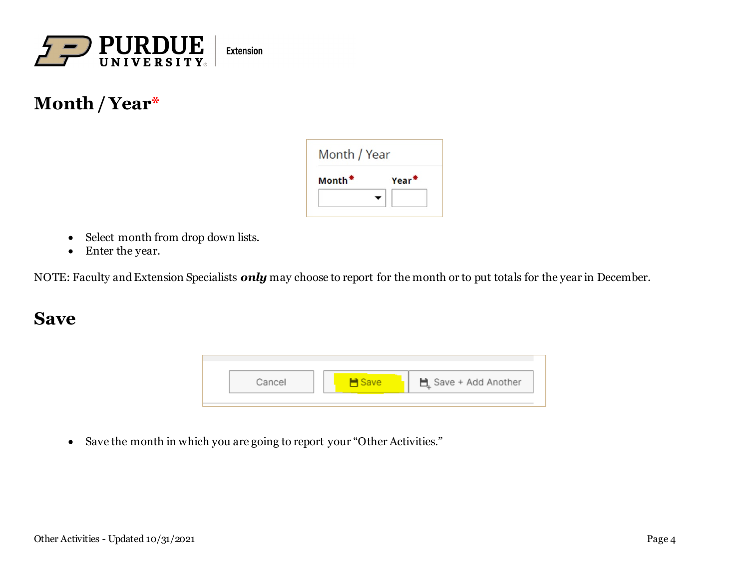

## **Month / Year\***



- Select month from drop down lists.
- Enter the year.

NOTE: Faculty and Extension Specialists *only* may choose to report for the month or to put totals for the year in December.

#### **Save**



• Save the month in which you are going to report your "Other Activities."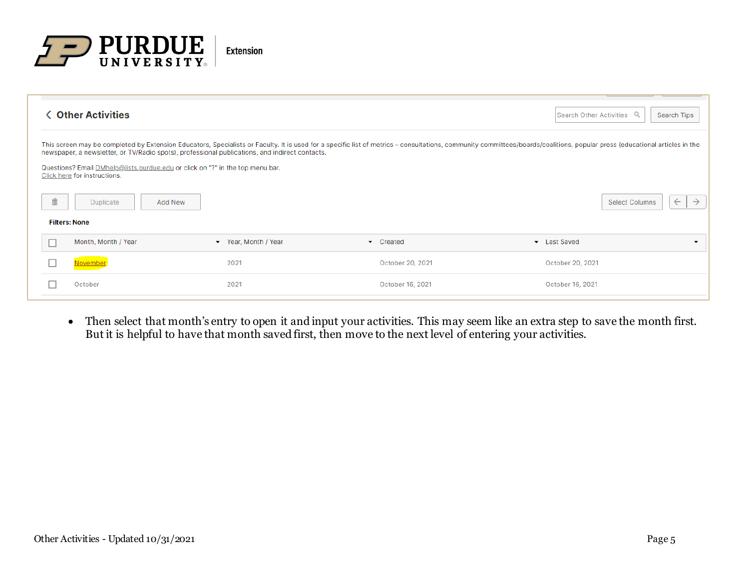

|   | <b>く Other Activities</b>                                                                                                                                                                                       |                      |                                                                                                                                                                                                                            | Search Other Activities Q<br>Search Tips |                          |
|---|-----------------------------------------------------------------------------------------------------------------------------------------------------------------------------------------------------------------|----------------------|----------------------------------------------------------------------------------------------------------------------------------------------------------------------------------------------------------------------------|------------------------------------------|--------------------------|
|   | newspaper, a newsletter, or TV/Radio spots), professional publications, and indirect contacts.<br>Questions? Email DMhelp@lists.purdue.edu or click on "?" in the top menu bar.<br>Click here for instructions. |                      | This screen may be completed by Extension Educators, Specialists or Faculty. It is used for a specific list of metrics - consultations, community committees/boards/coalitions, popular press (educational articles in the |                                          |                          |
| 面 | Duplicate<br>Add New                                                                                                                                                                                            |                      |                                                                                                                                                                                                                            | <b>Select Columns</b><br>$\leftarrow$    | $\rightarrow$            |
|   | <b>Filters: None</b>                                                                                                                                                                                            |                      |                                                                                                                                                                                                                            |                                          |                          |
|   | Month, Month / Year                                                                                                                                                                                             | ▼ Year, Month / Year | Created<br>$\overline{\phantom{a}}$                                                                                                                                                                                        | • Last Saved                             | $\overline{\phantom{a}}$ |
|   | <b>November</b>                                                                                                                                                                                                 | 2021                 | October 20, 2021                                                                                                                                                                                                           | October 20, 2021                         |                          |
|   | October                                                                                                                                                                                                         | 2021                 | October 16, 2021                                                                                                                                                                                                           | October 16, 2021                         |                          |
|   |                                                                                                                                                                                                                 |                      |                                                                                                                                                                                                                            |                                          |                          |

• Then select that month's entry to open it and input your activities. This may seem like an extra step to save the month first. But it is helpful to have that month saved first, then move to the next level of entering your activities.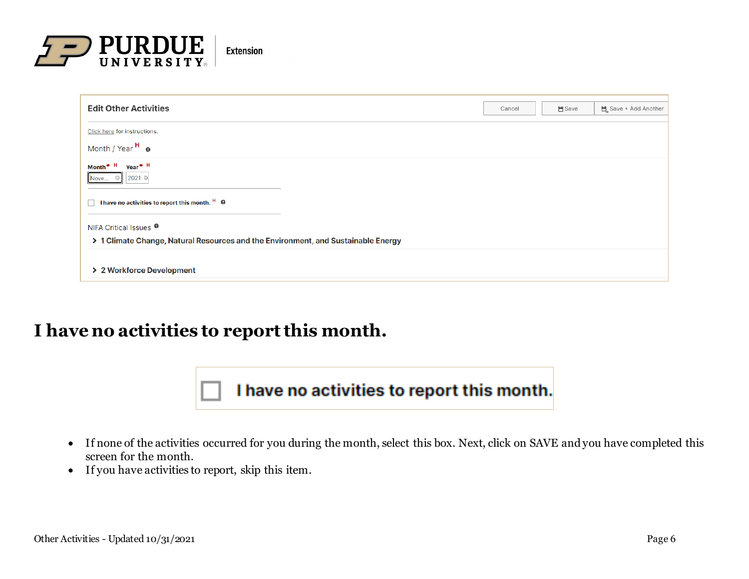

| <b>Edit Other Activities</b>                                                      | Cancel | <b>■</b> Save | Save + Add Another |
|-----------------------------------------------------------------------------------|--------|---------------|--------------------|
| Click here for instructions.                                                      |        |               |                    |
| Month / Year H @                                                                  |        |               |                    |
| Month <sup>*</sup> H Year <sup>*</sup> H<br>2021 間<br>Nove                        |        |               |                    |
| I have no activities to report this month. <sup>H</sup> <sup>@</sup><br>П.        |        |               |                    |
| NIFA Critical Issues <sup>●</sup>                                                 |        |               |                    |
| > 1 Climate Change, Natural Resources and the Environment, and Sustainable Energy |        |               |                    |
| > 2 Workforce Development                                                         |        |               |                    |

### **I have no activities to report this month.**



- If none of the activities occurred for you during the month, select this box. Next, click on SAVE and you have completed this screen for the month.
- If you have activities to report, skip this item.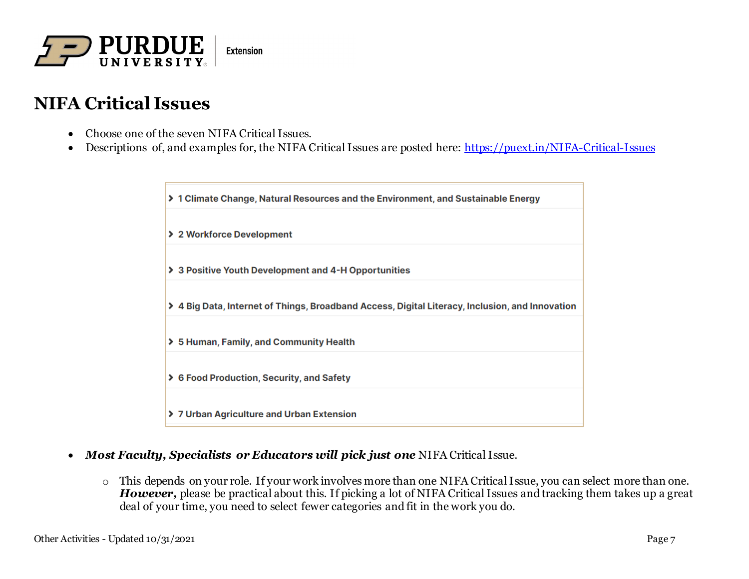

## **NIFA Critical Issues**

- Choose one of the seven NIFA Critical Issues.
- Descriptions of, and examples for, the NIFA Critical Issues are posted here:<https://puext.in/NIFA-Critical-Issues>

→ 1 Climate Change, Natural Resources and the Environment, and Sustainable Energy > 2 Workforce Development > 3 Positive Youth Development and 4-H Opportunities > 4 Big Data, Internet of Things, Broadband Access, Digital Literacy, Inclusion, and Innovation > 5 Human, Family, and Community Health > 6 Food Production, Security, and Safety > 7 Urban Agriculture and Urban Extension

- *Most Faculty, Specialists or Educators will pick just one* NIFA Critical Issue.
	- o This depends on your role. If your work involves more than one NIFA Critical Issue, you can select more than one. *However,* please be practical about this. If picking a lot of NIFA Critical Issues and tracking them takes up a great deal of your time, you need to select fewer categories and fit in the work you do.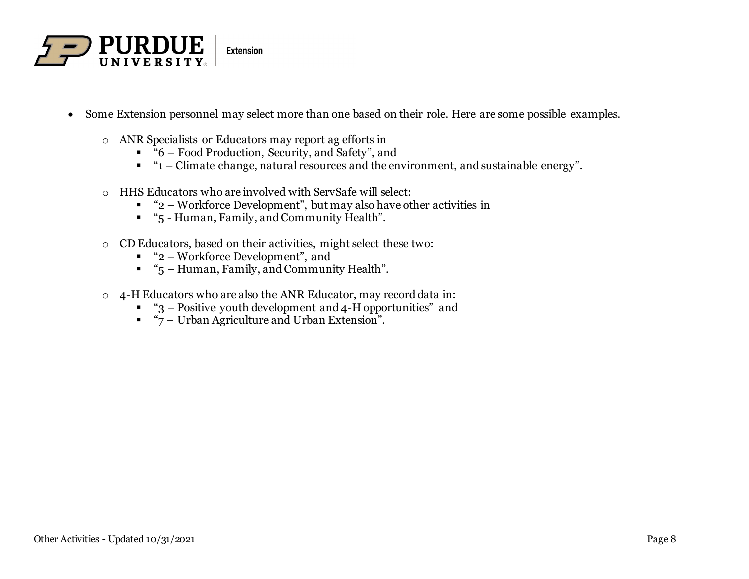

- Some Extension personnel may select more than one based on their role. Here are some possible examples.
	- o ANR Specialists or Educators may report ag efforts in
		- "6 Food Production, Security, and Safety", and
		- $" '1 Climate change, natural resources and the environment, and sustainable energy".$
	- o HHS Educators who are involved with ServSafe will select:
		- $\blacksquare$  "2 Workforce Development", but may also have other activities in
		- "5 Human, Family, and Community Health".
	- o CD Educators, based on their activities, might select these two:
		- "2 Workforce Development", and
		- "5 Human, Family, and Community Health".
	- o 4-H Educators who are also the ANR Educator, may record data in:
		- $\bullet$  "3 Positive youth development and 4-H opportunities" and
		- "7 Urban Agriculture and Urban Extension".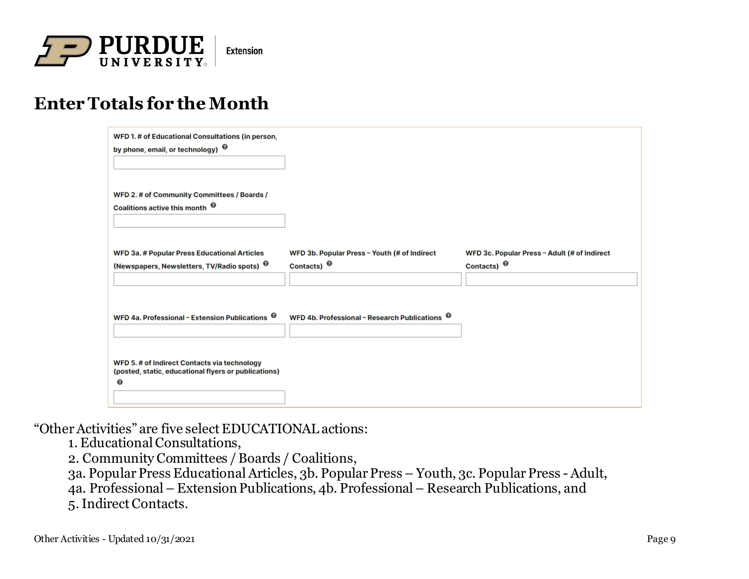

## **Enter Totals for the Month**

| WFD 1. # of Educational Consultations (in person,<br>by phone, email, or technology) <sup>©</sup>               |                                                                    |                                                                    |
|-----------------------------------------------------------------------------------------------------------------|--------------------------------------------------------------------|--------------------------------------------------------------------|
| WFD 2. # of Community Committees / Boards /<br>Coalitions active this month <sup><math>\bm{\Theta}</math></sup> |                                                                    |                                                                    |
| <b>WFD 3a. # Popular Press Educational Articles</b><br>(Newspapers, Newsletters, TV/Radio spots) <sup>@</sup>   | WFD 3b. Popular Press - Youth (# of Indirect<br>Contacts) $\Theta$ | WFD 3c. Popular Press - Adult (# of Indirect<br>Contacts) $\Theta$ |
| WFD 4a. Professional - Extension Publications <sup>@</sup>                                                      | WFD 4b. Professional - Research Publications <sup>@</sup>          |                                                                    |
| WFD 5. # of Indirect Contacts via technology<br>(posted, static, educational flyers or publications)<br>◉       |                                                                    |                                                                    |
|                                                                                                                 |                                                                    |                                                                    |

"OtherActivities" are five select EDUCATIONAL actions:

1. Educational Consultations,

2. Community Committees / Boards / Coalitions,

3a. Popular Press Educational Articles, 3b. Popular Press – Youth, 3c. Popular Press - Adult,

4a. Professional – Extension Publications, 4b. Professional – Research Publications, and

5. Indirect Contacts.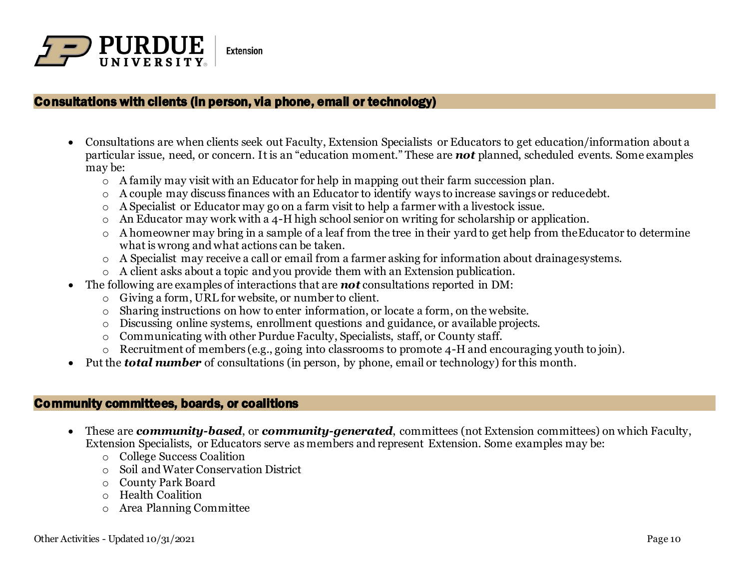

#### Consultations with clients (in person, via phone, email or technology)

- Consultations are when clients seek out Faculty, Extension Specialists or Educators to get education/information about a particular issue, need, or concern. It is an "education moment." These are *not* planned, scheduled events. Some examples may be:
	- o A family may visit with an Educator for help in mapping out their farm succession plan.
	- o A couple may discuss finances with an Educator to identify ways to increase savings or reducedebt.
	- A Specialist or Educator may go on a farm visit to help a farmer with a livestock issue.
	- o An Educator may work with a 4-H high school senior on writing for scholarship or application.
	- o A homeowner may bring in a sample of a leaf from the tree in their yard to get help from theEducator to determine what is wrong and what actions can be taken.
	- o A Specialist may receive a call or email from a farmer asking for information about drainagesystems.
	- o A client asks about a topic and you provide them with an Extension publication.
- The following are examples of interactions that are *not* consultations reported in DM:
	- o Giving a form, URL for website, or number to client.
	- o Sharing instructions on how to enter information, or locate a form, on the website.
	- o Discussing online systems, enrollment questions and guidance, or available projects.
	- o Communicating with other Purdue Faculty, Specialists, staff, or County staff.
	- o Recruitment of members (e.g., going into classrooms to promote 4-H and encouraging youth to join).
- Put the *total number* of consultations (in person, by phone, email or technology) for this month.

#### Community committees, boards, or coalitions

- These are *community-based*, or *community-generated*, committees (not Extension committees) on which Faculty, Extension Specialists, or Educators serve as members and represent Extension. Some examples may be:
	- o College Success Coalition
	- o Soil andWater Conservation District
	- o County Park Board
	- o Health Coalition
	- o Area Planning Committee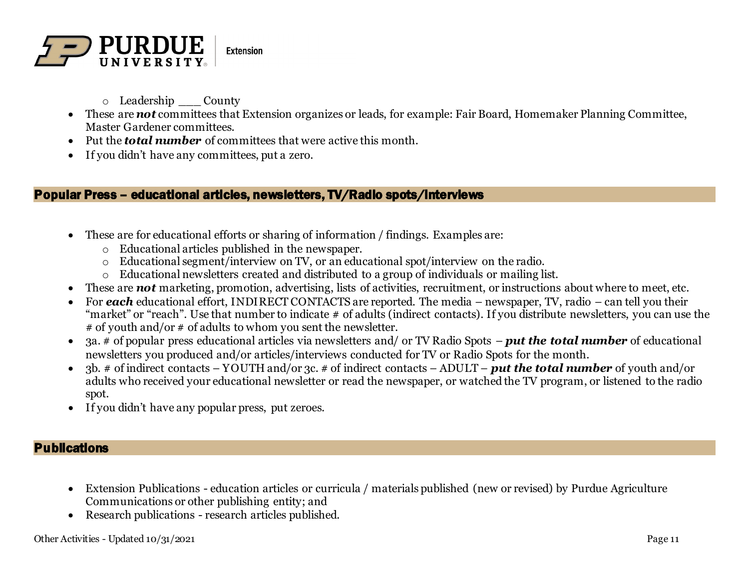

- o Leadership \_\_\_ County
- These are *not* committees that Extension organizes or leads, for example: Fair Board, Homemaker Planning Committee, Master Gardener committees.
- Put the *total number* of committees that were active this month.
- If you didn't have any committees, put a zero.

#### Popular Press – educational articles, newsletters, TV/Radio spots/interviews

- These are for educational efforts or sharing of information / findings. Examples are:
	- o Educational articles published in the newspaper.
	- o Educational segment/interview on TV, or an educational spot/interview on the radio.
	- o Educational newsletters created and distributed to a group of individuals or mailing list.
- These are *not* marketing, promotion, advertising, lists of activities, recruitment, or instructions about where to meet, etc.
- For *each* educational effort, INDIRECT CONTACTS are reported. The media newspaper, TV, radio can tell you their "market" or "reach". Use that number to indicate # of adults (indirect contacts). If you distribute newsletters, you can use the # of youth and/or # of adults to whom you sent the newsletter.
- 3a. # of popular press educational articles via newsletters and/ or TV Radio Spots *put the total number* of educational newsletters you produced and/or articles/interviews conducted for TV or Radio Spots for the month.
- 3b. # of indirect contacts YOUTH and/or 3c. # of indirect contacts ADULT *put the total number* of youth and/or adults who received your educational newsletter or read the newspaper, or watched the TV program, or listened to the radio spot.
- If you didn't have any popular press, put zeroes.

#### **Publications**

- Extension Publications education articles or curricula / materials published (new or revised) by Purdue Agriculture Communications or other publishing entity; and
- Research publications research articles published.